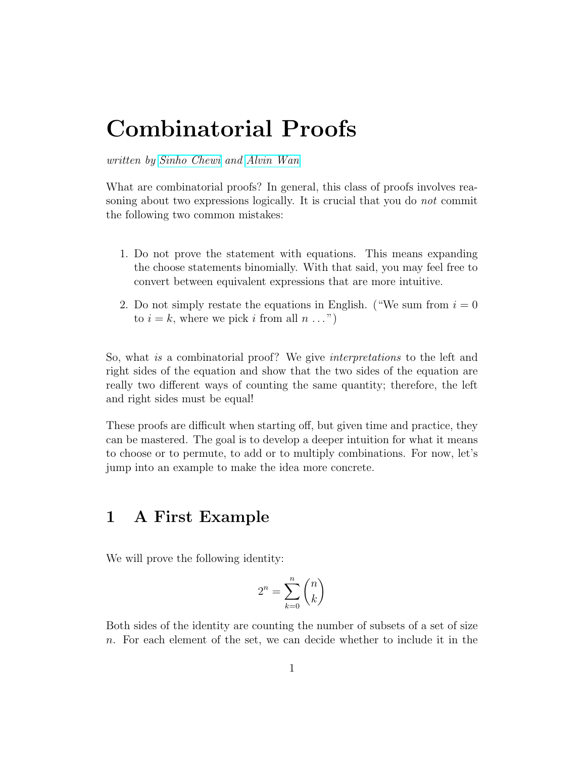## Combinatorial Proofs

written by [Sinho Chewi](http://chewisinho.github.io) and [Alvin Wan](http://alvinwan.com)

What are combinatorial proofs? In general, this class of proofs involves reasoning about two expressions logically. It is crucial that you do not commit the following two common mistakes:

- 1. Do not prove the statement with equations. This means expanding the choose statements binomially. With that said, you may feel free to convert between equivalent expressions that are more intuitive.
- 2. Do not simply restate the equations in English. ("We sum from  $i = 0$ to  $i = k$ , where we pick i from all  $n \dots$ ")

So, what *is* a combinatorial proof? We give *interpretations* to the left and right sides of the equation and show that the two sides of the equation are really two different ways of counting the same quantity; therefore, the left and right sides must be equal!

These proofs are difficult when starting off, but given time and practice, they can be mastered. The goal is to develop a deeper intuition for what it means to choose or to permute, to add or to multiply combinations. For now, let's jump into an example to make the idea more concrete.

## 1 A First Example

We will prove the following identity:

$$
2^n = \sum_{k=0}^n \binom{n}{k}
$$

Both sides of the identity are counting the number of subsets of a set of size n. For each element of the set, we can decide whether to include it in the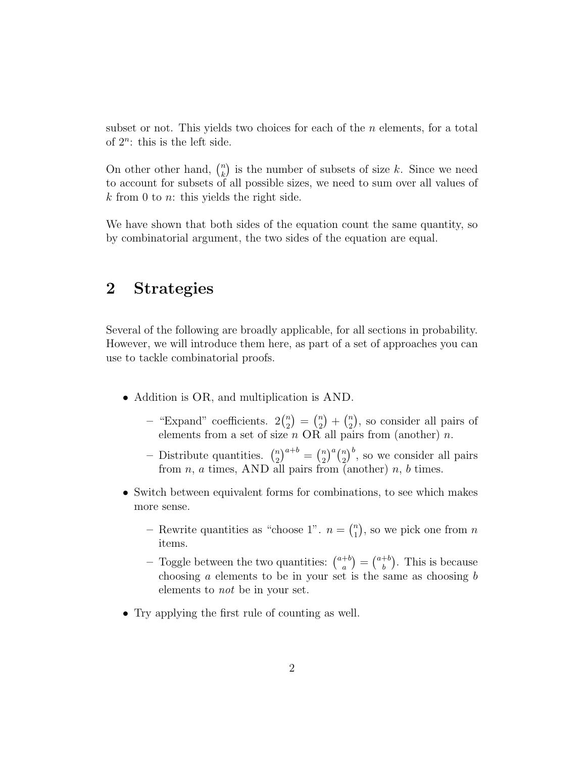subset or not. This yields two choices for each of the  $n$  elements, for a total of  $2^n$ : this is the left side.

On other other hand,  $\binom{n}{k}$  $\binom{n}{k}$  is the number of subsets of size k. Since we need to account for subsets of all possible sizes, we need to sum over all values of  $k$  from 0 to *n*: this yields the right side.

We have shown that both sides of the equation count the same quantity, so by combinatorial argument, the two sides of the equation are equal.

## 2 Strategies

Several of the following are broadly applicable, for all sections in probability. However, we will introduce them here, as part of a set of approaches you can use to tackle combinatorial proofs.

- Addition is OR, and multiplication is AND.
	- "Expand" coefficients.  $2\binom{n}{2}$  $\binom{n}{2} = \binom{n}{2}$  $\binom{n}{2} + \binom{n}{2}$  $\binom{n}{2}$ , so consider all pairs of elements from a set of size *n* OR all pairs from (another) *n*.
	- Distribute quantities.  $\binom{n}{2}$  ${n \choose 2}^{a+b} = {n \choose 2}$  $\binom{n}{2}^a \binom{n}{2}$  $\binom{n}{2}^b$ , so we consider all pairs from  $n$ ,  $a$  times, AND all pairs from (another)  $n$ ,  $b$  times.
- Switch between equivalent forms for combinations, to see which makes more sense.
	- Rewrite quantities as "choose 1".  $n = \binom{n}{1}$  $\binom{n}{1}$ , so we pick one from n items.
	- Toggle between the two quantities:  $\binom{a+b}{a}$  $\binom{+b}{a} = \binom{a+b}{b}$  $b<sup>b</sup>$ ). This is because choosing  $a$  elements to be in your set is the same as choosing  $b$ elements to not be in your set.
- Try applying the first rule of counting as well.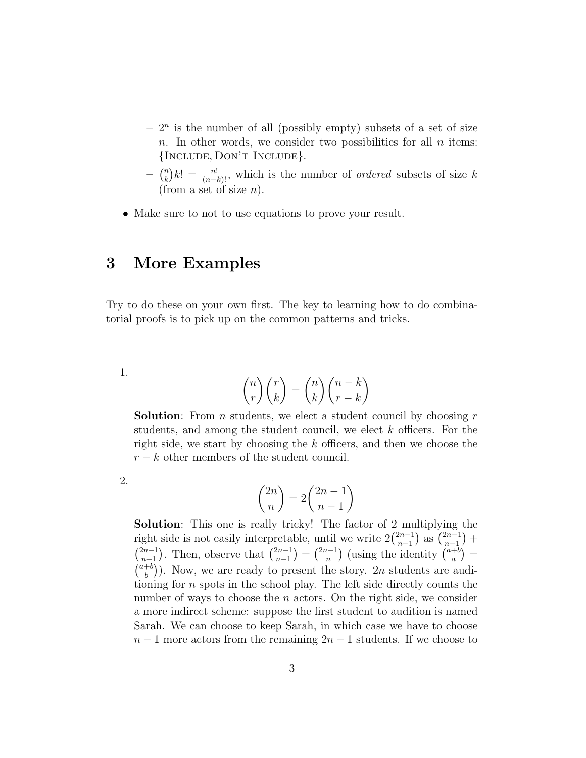- $-2<sup>n</sup>$  is the number of all (possibly empty) subsets of a set of size n. In other words, we consider two possibilities for all  $n$  items: {Include, Don't Include}.
- $\binom{n}{k}$  $\binom{n}{k} k! = \frac{n!}{(n-k)!}$ , which is the number of *ordered* subsets of size k (from a set of size  $n$ ).
- Make sure to not to use equations to prove your result.

## 3 More Examples

Try to do these on your own first. The key to learning how to do combinatorial proofs is to pick up on the common patterns and tricks.

1.

$$
\binom{n}{r}\binom{r}{k} = \binom{n}{k}\binom{n-k}{r-k}
$$

**Solution**: From *n* students, we elect a student council by choosing  $r$ students, and among the student council, we elect k officers. For the right side, we start by choosing the  $k$  officers, and then we choose the  $r - k$  other members of the student council.

2.

$$
\binom{2n}{n} = 2\binom{2n-1}{n-1}
$$

Solution: This one is really tricky! The factor of 2 multiplying the right side is not easily interpretable, until we write  $2\binom{2n-1}{n-1}$  ${n-1 \choose n-1}$  as  $\binom{2n-1}{n-1}$  $\binom{2n-1}{n-1} +$  $\binom{2n-1}{n}$  $\binom{2n-1}{n-1}$ . Then, observe that  $\binom{2n-1}{n-1}$  $\binom{2n-1}{n-1} = \binom{2n-1}{n}$  ${n-1 \choose n}$  (using the identity  ${a+b \choose a}$  $\binom{+b}{a}$  =  $\binom{a+b}{b}$  $\binom{+b}{b}$ ). Now, we are ready to present the story. 2n students are auditioning for n spots in the school play. The left side directly counts the number of ways to choose the  $n$  actors. On the right side, we consider a more indirect scheme: suppose the first student to audition is named Sarah. We can choose to keep Sarah, in which case we have to choose  $n-1$  more actors from the remaining  $2n-1$  students. If we choose to